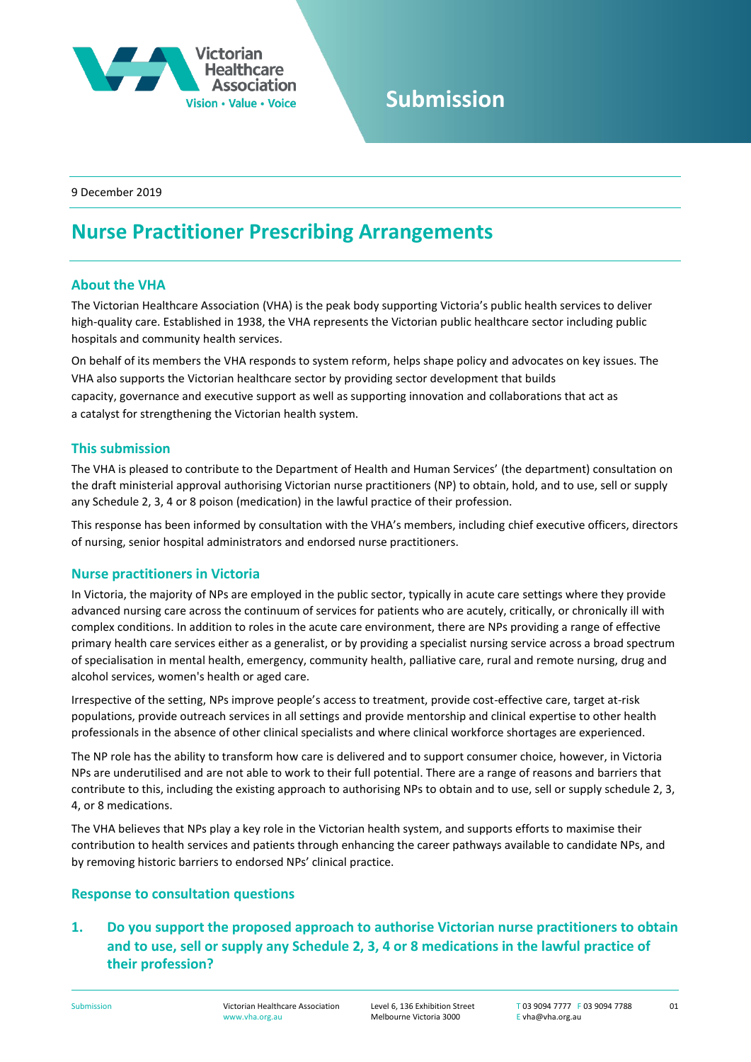

# **Submission**

9 December 2019

# **Nurse Practitioner Prescribing Arrangements**

## **About the VHA**

The Victorian Healthcare Association (VHA) is the peak body supporting Victoria's public health services to deliver high-quality care. Established in 1938, the VHA represents the Victorian public healthcare sector including public hospitals and community health services.

On behalf of its members the VHA responds to system reform, helps shape policy and advocates on key issues. The VHA also supports the Victorian healthcare sector by providing sector development that builds capacity, governance and executive support as well as supporting innovation and collaborations that act as a catalyst for strengthening the Victorian health system.

## **This submission**

The VHA is pleased to contribute to the Department of Health and Human Services' (the department) consultation on the draft ministerial approval authorising Victorian nurse practitioners (NP) to obtain, hold, and to use, sell or supply any Schedule 2, 3, 4 or 8 poison (medication) in the lawful practice of their profession.

This response has been informed by consultation with the VHA's members, including chief executive officers, directors of nursing, senior hospital administrators and endorsed nurse practitioners.

# **Nurse practitioners in Victoria**

In Victoria, the majority of NPs are employed in the public sector, typically in acute care settings where they provide advanced nursing care across the continuum of services for patients who are acutely, critically, or chronically ill with complex conditions. In addition to roles in the acute care environment, there are NPs providing a range of effective primary health care services either as a generalist, or by providing a specialist nursing service across a broad spectrum of specialisation in mental health, emergency, community health, palliative care, rural and remote nursing, drug and alcohol services, women's health or aged care.

Irrespective of the setting, NPs improve people's access to treatment, provide cost-effective care, target at-risk populations, provide outreach services in all settings and provide mentorship and clinical expertise to other health professionals in the absence of other clinical specialists and where clinical workforce shortages are experienced.

The NP role has the ability to transform how care is delivered and to support consumer choice, however, in Victoria NPs are underutilised and are not able to work to their full potential. There are a range of reasons and barriers that contribute to this, including the existing approach to authorising NPs to obtain and to use, sell or supply schedule 2, 3, 4, or 8 medications.

The VHA believes that NPs play a key role in the Victorian health system, and supports efforts to maximise their contribution to health services and patients through enhancing the career pathways available to candidate NPs, and by removing historic barriers to endorsed NPs' clinical practice.

## **Response to consultation questions**

# **1. Do you support the proposed approach to authorise Victorian nurse practitioners to obtain and to use, sell or supply any Schedule 2, 3, 4 or 8 medications in the lawful practice of their profession?**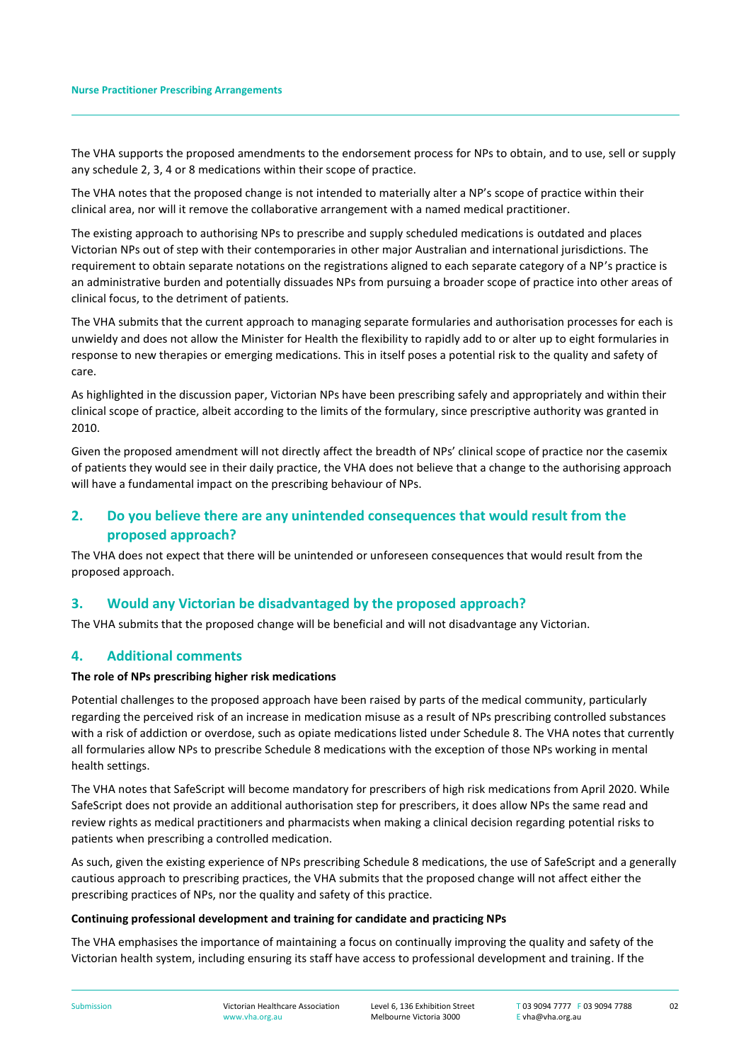The VHA supports the proposed amendments to the endorsement process for NPs to obtain, and to use, sell or supply any schedule 2, 3, 4 or 8 medications within their scope of practice.

The VHA notes that the proposed change is not intended to materially alter a NP's scope of practice within their clinical area, nor will it remove the collaborative arrangement with a named medical practitioner.

The existing approach to authorising NPs to prescribe and supply scheduled medications is outdated and places Victorian NPs out of step with their contemporaries in other major Australian and international jurisdictions. The requirement to obtain separate notations on the registrations aligned to each separate category of a NP's practice is an administrative burden and potentially dissuades NPs from pursuing a broader scope of practice into other areas of clinical focus, to the detriment of patients.

The VHA submits that the current approach to managing separate formularies and authorisation processes for each is unwieldy and does not allow the Minister for Health the flexibility to rapidly add to or alter up to eight formularies in response to new therapies or emerging medications. This in itself poses a potential risk to the quality and safety of care.

As highlighted in the discussion paper, Victorian NPs have been prescribing safely and appropriately and within their clinical scope of practice, albeit according to the limits of the formulary, since prescriptive authority was granted in 2010.

Given the proposed amendment will not directly affect the breadth of NPs' clinical scope of practice nor the casemix of patients they would see in their daily practice, the VHA does not believe that a change to the authorising approach will have a fundamental impact on the prescribing behaviour of NPs.

# **2. Do you believe there are any unintended consequences that would result from the proposed approach?**

The VHA does not expect that there will be unintended or unforeseen consequences that would result from the proposed approach.

## **3. Would any Victorian be disadvantaged by the proposed approach?**

The VHA submits that the proposed change will be beneficial and will not disadvantage any Victorian.

# **4. Additional comments**

### **The role of NPs prescribing higher risk medications**

Potential challenges to the proposed approach have been raised by parts of the medical community, particularly regarding the perceived risk of an increase in medication misuse as a result of NPs prescribing controlled substances with a risk of addiction or overdose, such as opiate medications listed under Schedule 8. The VHA notes that currently all formularies allow NPs to prescribe Schedule 8 medications with the exception of those NPs working in mental health settings.

The VHA notes that SafeScript will become mandatory for prescribers of high risk medications from April 2020. While SafeScript does not provide an additional authorisation step for prescribers, it does allow NPs the same read and review rights as medical practitioners and pharmacists when making a clinical decision regarding potential risks to patients when prescribing a controlled medication.

As such, given the existing experience of NPs prescribing Schedule 8 medications, the use of SafeScript and a generally cautious approach to prescribing practices, the VHA submits that the proposed change will not affect either the prescribing practices of NPs, nor the quality and safety of this practice.

### **Continuing professional development and training for candidate and practicing NPs**

The VHA emphasises the importance of maintaining a focus on continually improving the quality and safety of the Victorian health system, including ensuring its staff have access to professional development and training. If the